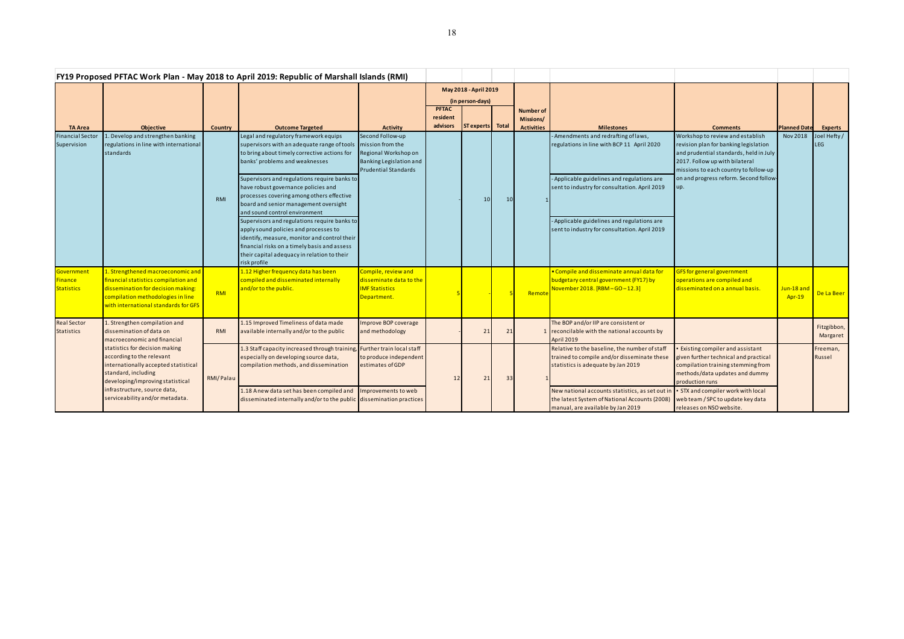|                                                   |                                                                                                                                                                                                                                   |            | FY19 Proposed PFTAC Work Plan - May 2018 to April 2019: Republic of Marshall Islands (RMI)                                                                                                                                                           |                                                                                                                        |                                  |                  |                 |                   |                                                                                                                                       |                                                                                                                                                                                                                                                 |                             |                            |
|---------------------------------------------------|-----------------------------------------------------------------------------------------------------------------------------------------------------------------------------------------------------------------------------------|------------|------------------------------------------------------------------------------------------------------------------------------------------------------------------------------------------------------------------------------------------------------|------------------------------------------------------------------------------------------------------------------------|----------------------------------|------------------|-----------------|-------------------|---------------------------------------------------------------------------------------------------------------------------------------|-------------------------------------------------------------------------------------------------------------------------------------------------------------------------------------------------------------------------------------------------|-----------------------------|----------------------------|
|                                                   |                                                                                                                                                                                                                                   |            |                                                                                                                                                                                                                                                      |                                                                                                                        | May 2018 - April 2019            |                  |                 |                   |                                                                                                                                       |                                                                                                                                                                                                                                                 |                             |                            |
|                                                   |                                                                                                                                                                                                                                   |            |                                                                                                                                                                                                                                                      |                                                                                                                        | (in person-days)<br><b>PFTAC</b> |                  |                 | <b>Number of</b>  |                                                                                                                                       |                                                                                                                                                                                                                                                 |                             |                            |
|                                                   |                                                                                                                                                                                                                                   |            |                                                                                                                                                                                                                                                      |                                                                                                                        | resident                         |                  |                 | Missions/         |                                                                                                                                       |                                                                                                                                                                                                                                                 |                             |                            |
| <b>TA Area</b>                                    | <b>Objective</b>                                                                                                                                                                                                                  | Country    | <b>Outcome Targeted</b>                                                                                                                                                                                                                              | <b>Activity</b>                                                                                                        | advisors                         | ST experts Total |                 | <b>Activities</b> | <b>Milestones</b>                                                                                                                     | <b>Comments</b>                                                                                                                                                                                                                                 | <b>Planned Date</b>         | <b>Experts</b>             |
| <b>Financial Sector</b><br>Supervision            | . Develop and strengthen banking<br>regulations in line with international<br>standards                                                                                                                                           | <b>RMI</b> | Legal and regulatory framework equips<br>supervisors with an adequate range of tools<br>to bring about timely corrective actions for<br>banks' problems and weaknesses                                                                               | Second Follow-up<br>mission from the<br>Regional Workshop on<br>Banking Legislation and<br><b>Prudential Standards</b> |                                  | 10               | 10 <sup>1</sup> |                   | - Amendments and redrafting of laws,<br>regulations in line with BCP 11 April 2020                                                    | Workshop to review and establish<br>revision plan for banking legislation<br>and prudential standards, held in July<br>2017. Follow up with bilateral<br>missions to each country to follow-up<br>on and progress reform. Second follow-<br>up. | <b>Nov 2018</b>             | Joel Hefty /<br><b>LEG</b> |
|                                                   |                                                                                                                                                                                                                                   |            | Supervisors and regulations require banks to<br>have robust governance policies and<br>processes covering among others effective<br>board and senior management oversight<br>and sound control environment                                           |                                                                                                                        |                                  |                  |                 |                   | - Applicable guidelines and regulations are<br>sent to industry for consultation. April 2019                                          |                                                                                                                                                                                                                                                 |                             |                            |
|                                                   |                                                                                                                                                                                                                                   |            | Supervisors and regulations require banks to<br>apply sound policies and processes to<br>identify, measure, monitor and control their<br>financial risks on a timely basis and assess<br>their capital adequacy in relation to their<br>risk profile |                                                                                                                        |                                  |                  |                 |                   | - Applicable guidelines and regulations are<br>sent to industry for consultation. April 2019                                          |                                                                                                                                                                                                                                                 |                             |                            |
| Government<br><b>Finance</b><br><b>Statistics</b> | 1. Strengthened macroeconomic and<br>financial statistics compilation and<br>dissemination for decision making:<br>compilation methodologies in line<br>with international standards for GFS                                      | <b>RMI</b> | 1.12 Higher frequency data has been<br>compiled and disseminated internally<br>and/or to the public.                                                                                                                                                 | Compile, review and<br>disseminate data to the<br><b>IMF Statistics</b><br>Department.                                 |                                  |                  |                 | Remot             | • Compile and disseminate annual data for<br>budgetary central government (FY17) by<br>November 2018. [RBM-GO-12.3]                   | GFS for general government<br>operations are compiled and<br>disseminated on a annual basis.                                                                                                                                                    | Jun-18 and<br><b>Apr-19</b> | De La Beer                 |
| <b>Real Sector</b><br><b>Statistics</b>           | L. Strengthen compilation and<br>dissemination of data on<br>macroeconomic and financial                                                                                                                                          | RMI        | 1.15 Improved Timeliness of data made<br>available internally and/or to the public                                                                                                                                                                   | Improve BOP coverage<br>and methodology                                                                                |                                  | 21               | 21              |                   | The BOP and/or IIP are consistent or<br>reconcilable with the national accounts by<br><b>April 2019</b>                               |                                                                                                                                                                                                                                                 |                             | Fitzgibbon,<br>Margaret    |
|                                                   | statistics for decision making<br>according to the relevant<br>internationally accepted statistical<br>standard, including<br>developing/improving statistical<br>infrastructure, source data,<br>serviceability and/or metadata. | RMI/Palau  | 1.3 Staff capacity increased through training<br>especially on developing source data,<br>compilation methods, and dissemination                                                                                                                     | <b>Further train local staff</b><br>to produce independent<br>estimates of GDP                                         | 12                               | 21               | 33              |                   | Relative to the baseline, the number of staff<br>trained to compile and/or disseminate these<br>statistics is adequate by Jan 2019    | <b>Existing compiler and assistant</b><br>given further technical and practical<br>compilation training stemming from<br>methods/data updates and dummy<br>production runs                                                                      |                             | Freeman,<br>Russel         |
|                                                   |                                                                                                                                                                                                                                   |            | 1.18 Anew data set has been compiled and<br>disseminated internally and/or to the public dissemination practices                                                                                                                                     | Improvements to web                                                                                                    |                                  |                  |                 |                   | New national accounts statistics, as set out in<br>the latest System of National Accounts (2008)<br>manual, are available by Jan 2019 | • STX and compiler work with local<br>web team / SPC to update key data<br>releases on NSO website.                                                                                                                                             |                             |                            |